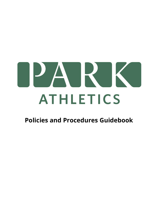

# **Policies and Procedures Guidebook**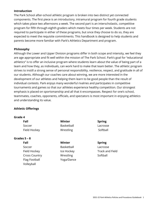#### **Introduction**

The Park School after-school athletic program is broken into two distinct yet connected components. The first piece is an introductory, intramural program for fourth grade students which takes place two afternoons a week. The second part is an interscholastic, competitive program for fifth through eighth graders which meets four times per week. Students are not required to participate in either of these programs, but once they choose to do so, they are expected to meet the requisite commitments. This handbook is designed to help students and parents become more familiar with Park's Athletics Department and program.

#### **Philosophy**

Although the Lower and Upper Division programs differ in both scope and intensity, we feel they are age appropriate and fit well within the mission of The Park School. Park's goal for "educational athletics" is to offer an inclusive program where students learn about the value of being part of a team and how they, as individuals, can work hard to make that team better. The athletic program strives to instill a strong sense of personal responsibility, resilience, respect, and gratitude in all of our students. Although our coaches care about winning, we are more interested in the development of our athletes and helping them learn to be good people than the result of individual contests. Park enjoys many wonderful rivalries and participates in competitive tournaments and games so that our athletes experience healthy competition. Our strongest emphasis is placed on sportsmanship and all that it encompasses. Respect for one's school, teammates, coaches, opponents, officials, and spectators is most important in enjoying athletics and understanding its value.

#### **Athletic Offerings**

Volleyball

| 4<br>Grade |  |
|------------|--|
|------------|--|

| Fall                 | Winter     | <b>Spring</b>          |
|----------------------|------------|------------------------|
| Soccer               | Basketball | Lacrosse               |
| Field Hockey         | Wrestling  | Softball               |
| Grades $5 - 8$       |            |                        |
| Fall                 | Winter     | <b>Spring</b>          |
| Soccer               | Basketball | Lacrosse               |
| Field Hockey         | Ice Hockey | <b>Track and Field</b> |
| <b>Cross Country</b> | Wrestling  | Softball               |

Flag Football Yoga/Dance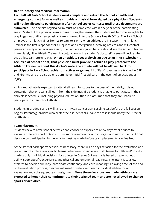# **Health, Safety and Medical Information**

**Each fall, all Park School students must complete and return the School's health and emergency contact form as well as provide a physical form signed by a physician. Students will not be allowed to participate in after-school sports contests until these documents are submitted**. The doctor's physical form must be completed within one year of the participating season's start. If the physical form expires during the season, the student will become ineligible to play in games until a new physical form is turned in to the School's Health Office. The Park School employs an athletic trainer from 2:30 p.m. to 5 p.m. when athletes are in season. The Athletic Trainer is the first responder for all injuries and emergencies involving athletes and will contact parents directly whenever necessary. If an athlete is injured he/she should see the Athletic Trainer immediately. The Athletic Trainer, in conjunction with a student's doctor (if seen) will decide when the athlete can return to play. **When an athlete sees a physician due to an injury (whether it occurred at school or not) that physician must provide a return-to-play protocol to the Athletic Trainer. Without this doctor's note, the athlete will not be allowed back to participate in Park School athletic practices or games.** All of Park's coaches are trained in CPR and First Aid and are also able to administer initial first aid care in the event of an accident or injury.

An injured athlete is expected to attend all team functions to the best of their ability. It is our contention that one can still learn from the sidelines. If a student is unable to participate in their daily class schedule (including physical education) then it is assumed that they are unable to participate in after-school athletics.

Students in Grades 6 and 8 will take the ImPACT Concussion Baseline test before the fall season begins. Parents/guardians who prefer their students NOT take the test should notify the Director of Athletics.

# **Team Placement**

Students new to after-school activities can choose to experience a few days "trial period" to evaluate different sport options. This is more common for our youngest and new students. A final decision on participation in the activity must be made before team placements are finalized.

At the start of each sports season, as necessary, there will be days set aside for the evaluation and placement of athletes on specific teams. Whenever possible, we build teams for fifth and/or sixth graders only. Individual decisions for athletes in Grades 5-8 are made based on age, athletic ability, sport specific experience, and physical and emotional readiness. The intent is to allow athletes to develop similarly, participate confidently, and earn meaningful playing time. At the end of the evaluation process, coaches will meet privately with each individual athlete for an evaluation and subsequent team assignment. **Once these decisions are made, athletes are expected to honor their commitment to their assigned team and are not allowed to change sports or activities.**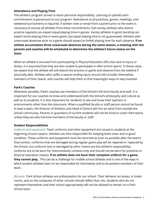# **Attendance and Playing Time**

The athletics program strives to teach personal responsibility. Learning to uphold one's commitments is paramount to our program. Attendance at all practices, games, meetings, and weekend tournaments is required. A written note or email from a parent prior to the event is necessary to excuse all athletes from these commitments. Sub-varsity athletes who attend practice regularly can expect equal playing time in games. Varsity athletes in good standing can expect some playing time in every game, but equal playing time is not guaranteed. Athletes with unexcused absences prior to a game should expect to forfeit playing time for each absence. **If an athlete accumulates three unexcused absences during the same season, a meeting with the parents and coaches will be scheduled to determine the athlete's future status on the team.**

When an athlete is excused from participating in Physical Education (PE) class due to injury or illness, it is assumed that they are also unable to participate in after-school sports. In these cases, we expect that the athlete will still attend the practice or game and observe from the sideline if physically able. Athletes who suffer a season ending injury should still consider themselves members of their teams, and coaches will help them to find meaningful ways to stay involved.

# **Park's Coaches**

Whenever possible, Park's coaches are members of the School's full time faculty and staff. It is important for our coaches to know and understand both the School's philosophy and culture as well as its students. It is also important for students to see and know their teachers in environments other than the classroom. When a qualified faculty or staff person cannot be found to lead a team, the Director of Athletics and Head of School will hire an adult from outside the School community. Parents or guardians of current students will not be hired to coach Park teams unless they are also full-time members of the faculty or staff.

#### **Student Responsibilities**

*Uniforms and equipment:* Team uniforms and other equipment are issued to students at the beginning of each season. Athletes are then responsible for keeping them clean and in good condition. These uniforms and equipment must be returned as soon as possible after the team's final contest. Uniforms that are damaged during regular game play will be repaired or replaced by the School, but uniforms lost or damaged by other means are the athlete's responsibility. Uniforms are to be worn for interscholastic contests only and should not be worn for practices or physical education classes. **If an athlete does not have their complete uniform for a game, they cannot play.** This can be a challenge for middle school athletes and is one of the ways in which student athletes learn to be responsible for themselves and to be positive members of their team.

*Behavior:* Park School athletes are ambassadors for our school. Their behavior on buses, in locker rooms, and on the campuses of other schools should reflect that role. Students who do not represent themselves and their school appropriately will not be allowed to remain on a Park School team.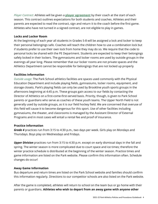*Player Contract:* Athletes will be given a **player [agreement](https://drive.google.com/file/d/1FJX7Xtqdzuwh7SUqe9gqPPT2_9j2hYo6/view?usp=sharing)** by their coach at the start of each season. This contract outlines expectations for both students and coaches. Athletes and their parents are expected to read the contract, sign and return it to the coach before the first game. Athletes who have not turned in a signed contract, are not eligible to play in games.

# **Locks and Locker Room**

At the beginning of each year all students in Grades 5-8 will be assigned a lock and locker to keep their personal belongings safe. Coaches will teach the children how to use a combination lock but if students prefer to use their own lock from home they may do so. We require that the code to personal locks be shared with the PE Department. Students are expected to keep their belongings safely locked in their lockers. The gymnasiums and locker rooms are used by outside groups in the evenings all year long. Please remember that our locker rooms are not private spaces and the Athletics Department cannot be responsible for belongings that are not locked up properly

# **Facilities Information**

*Outside usage:* The Park School athletics facilities are spaces used commonly with the Physical Education Department and include playing fields, gymnasiums, locker rooms, equipment, and storage closets. Park's playing fields can only be used by Brookline youth sports groups in the afternoons beginning at 4:45 p.m. These groups gain access to our fields by contacting the Director of Athletics on a first-come-first-served basis. Priority, though, is given to Park School parents or guardians who serve as coaches of these youth teams. The Upper North Field is not generally used by outside groups, as it is our field hockey field. We are concerned that overuse of this field will cause it to become dangerous for this sport. Use of other facilities including gymnasiums, the theater, and classrooms is managed by the Assistant Director of External Programs and in most cases will entail a rental fee and proof of insurance.

#### **Practice Information**

*Grade 4* practices run from 3:15 to 4:30 p.m., two days per week. Girls play on Mondays and Thursdays. Boys play on Wednesdays and Fridays.

*Upper Division* practices run from 3:15 to 4:30 p.m. except on early dismissal days in the fall and spring. The winter season is more complicated due to court space and ice times; therefore the winter practice schedule is distributed at the beginning of the winter season. Practice times and game information are listed on the Park website. Please confirm this information often. Schedule changes do occur!

#### **Away Game Information**

Bus departure and return times are listed on the Park School website and families should confirm this information regularly. Directions to our competitor schools are also listed on the Park website.

After the game is completed, athletes will return to school on the team bus or go home with their parents or guardians. **Athletes who wish to depart from an away game with anyone other**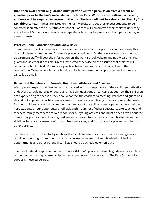**than their own parent or guardian must provide written permission from a parent or guardian prior to the bus's initial departure from Park. Without this written permission, students will be required to return on the bus. Students will not be released to Uber, Lyft or taxi drivers.** Return times are listed on the Park website and coaches expect students to be collected soon after the bus returns to school. Coaches will remain with their athletes until they are collected. Students whose rides are repeatedly late may be prohibited from participating in away contests.

# **Practice/Game Cancellations and Snow Days**

From time to time it is necessary to cancel athletics games and/or practices. In most cases this is due to inclement weather and/or unsafe playing conditions. On these occasions the Athletics Department staff will post the information on The Park School website and notify parents and guardians via email if possible. Unless instructed otherwise please assume that athletes will remain at school until 4:30 p.m. for a practice, team meeting, or study hall in lieu of the competition. When school is cancelled due to inclement weather, all practices and games are cancelled as well.

# **Behavioral Guidelines for Parents, Guardians, Athletes, and Coaches**

We hope and expect that families will be involved with and supportive of their children's athletics endeavors. Should parents or guardians have any questions or concerns about how their children are experiencing the season, they should contact the coach for a meeting. Parents and guardians should not approach coaches during games to inquire about playing time or appropriate positions for their child and should not speak with others about the ability of participating athletes (either Park students or our opponents) or officials within earshot of other spectators. Like coaches and teachers, family members are role models for our young athletes and must be sensitive about the image they portray. Parents and guardians must refrain from coaching their children from the sidelines because it causes confusion, mixed messages, and frustration for players, coaches, and other parents.

Families can be most helpful by enabling their child to attend as many practices and games as possible. Honoring commitments is a valuable lesson we teach through athletics. Medical appointments and other potential conflicts should be scheduled on off days.

The New England Prep School Athletic Council (NEPSAC) provides valuable guidelines for athletes' proper conduct and sportsmanship, as well as guidelines for spectators. The Park School fully supports these guidelines: